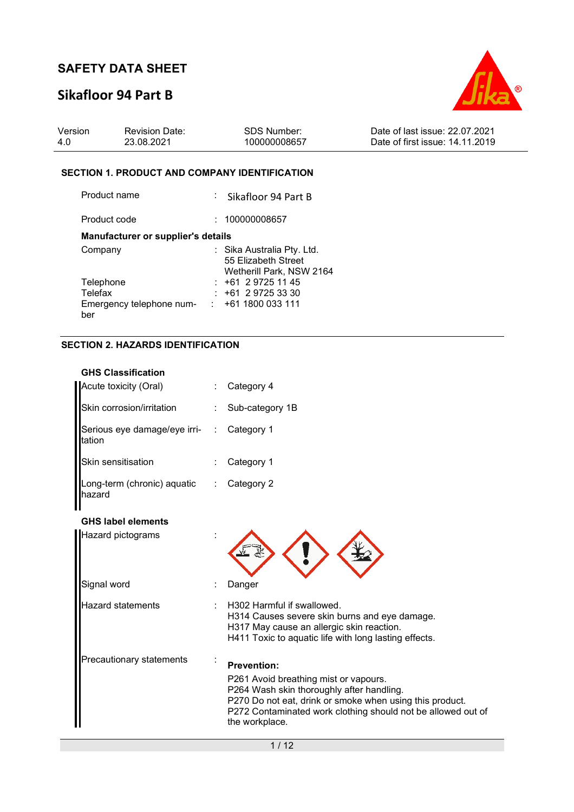# **Sikafloor 94 Part B**



| 23.08.2021<br>Date of first issue: 14.11.2019<br>100000008657<br>4.0 | Version | <b>Revision Date:</b> | SDS Number: | Date of last issue: 22.07.2021 |
|----------------------------------------------------------------------|---------|-----------------------|-------------|--------------------------------|
|----------------------------------------------------------------------|---------|-----------------------|-------------|--------------------------------|

### **SECTION 1. PRODUCT AND COMPANY IDENTIFICATION**

| Product name                       | : Sikafloor 94 Part B                                                         |
|------------------------------------|-------------------------------------------------------------------------------|
| Product code                       | 100000008657                                                                  |
| Manufacturer or supplier's details |                                                                               |
| Company                            | : Sika Australia Pty. Ltd.<br>55 Elizabeth Street<br>Wetherill Park, NSW 2164 |
| Telephone                          | $: +61297251145$                                                              |
| Telefax                            | +61 2 9725 33 30                                                              |
| Emergency telephone num-<br>ber    | $: +611800033111$                                                             |

### **SECTION 2. HAZARDS IDENTIFICATION**

| <b>GHS Classification</b>              |                      |                                                                                                                                                                                                                                  |
|----------------------------------------|----------------------|----------------------------------------------------------------------------------------------------------------------------------------------------------------------------------------------------------------------------------|
| Acute toxicity (Oral)                  |                      | Category 4                                                                                                                                                                                                                       |
| Skin corrosion/irritation              |                      | Sub-category 1B                                                                                                                                                                                                                  |
| Serious eye damage/eye irri-<br>tation | $\ddot{\phantom{a}}$ | Category 1                                                                                                                                                                                                                       |
| Skin sensitisation                     |                      | Category 1                                                                                                                                                                                                                       |
| Long-term (chronic) aquatic<br>hazard  |                      | Category 2                                                                                                                                                                                                                       |
| <b>GHS label elements</b>              |                      |                                                                                                                                                                                                                                  |
| Hazard pictograms                      |                      |                                                                                                                                                                                                                                  |
| Signal word                            |                      | Danger                                                                                                                                                                                                                           |
| Hazard statements                      |                      | H302 Harmful if swallowed.<br>H314 Causes severe skin burns and eye damage.<br>H317 May cause an allergic skin reaction.<br>H411 Toxic to aquatic life with long lasting effects.                                                |
| Precautionary statements               |                      | <b>Prevention:</b>                                                                                                                                                                                                               |
|                                        |                      | P261 Avoid breathing mist or vapours.<br>P264 Wash skin thoroughly after handling.<br>P270 Do not eat, drink or smoke when using this product.<br>P272 Contaminated work clothing should not be allowed out of<br>the workplace. |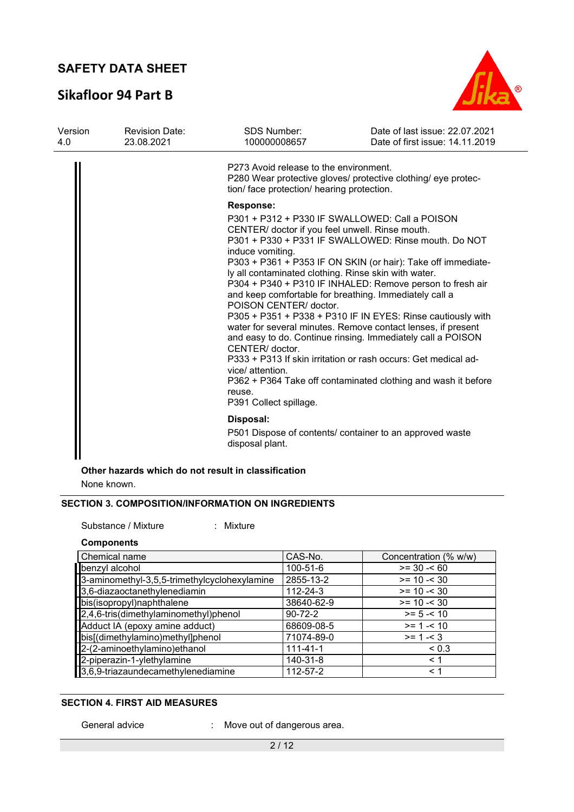# **Sikafloor 94 Part B**



| Version<br>4.0 | <b>Revision Date:</b><br>23.08.2021 | <b>SDS Number:</b><br>100000008657                                                          | Date of last issue: 22.07.2021<br>Date of first issue: 14.11.2019                                                                                                                                                                                                                                                                                                                                                                                                                                                                                                                                                                                                                                                                                                   |  |  |  |  |
|----------------|-------------------------------------|---------------------------------------------------------------------------------------------|---------------------------------------------------------------------------------------------------------------------------------------------------------------------------------------------------------------------------------------------------------------------------------------------------------------------------------------------------------------------------------------------------------------------------------------------------------------------------------------------------------------------------------------------------------------------------------------------------------------------------------------------------------------------------------------------------------------------------------------------------------------------|--|--|--|--|
|                |                                     | P273 Avoid release to the environment.<br>tion/ face protection/ hearing protection.        | P280 Wear protective gloves/ protective clothing/ eye protec-                                                                                                                                                                                                                                                                                                                                                                                                                                                                                                                                                                                                                                                                                                       |  |  |  |  |
|                |                                     | <b>Response:</b>                                                                            |                                                                                                                                                                                                                                                                                                                                                                                                                                                                                                                                                                                                                                                                                                                                                                     |  |  |  |  |
|                |                                     | induce vomiting.<br>CENTER/ doctor.<br>vice/ attention.<br>reuse.<br>P391 Collect spillage. | P301 + P312 + P330 IF SWALLOWED: Call a POISON<br>CENTER/ doctor if you feel unwell. Rinse mouth.<br>P301 + P330 + P331 IF SWALLOWED: Rinse mouth. Do NOT<br>P303 + P361 + P353 IF ON SKIN (or hair): Take off immediate-<br>ly all contaminated clothing. Rinse skin with water.<br>P304 + P340 + P310 IF INHALED: Remove person to fresh air<br>and keep comfortable for breathing. Immediately call a<br>POISON CENTER/ doctor.<br>P305 + P351 + P338 + P310 IF IN EYES: Rinse cautiously with<br>water for several minutes. Remove contact lenses, if present<br>and easy to do. Continue rinsing. Immediately call a POISON<br>P333 + P313 If skin irritation or rash occurs: Get medical ad-<br>P362 + P364 Take off contaminated clothing and wash it before |  |  |  |  |
|                |                                     | Disposal:                                                                                   |                                                                                                                                                                                                                                                                                                                                                                                                                                                                                                                                                                                                                                                                                                                                                                     |  |  |  |  |
|                |                                     | disposal plant.                                                                             | P501 Dispose of contents/ container to an approved waste                                                                                                                                                                                                                                                                                                                                                                                                                                                                                                                                                                                                                                                                                                            |  |  |  |  |
|                |                                     |                                                                                             |                                                                                                                                                                                                                                                                                                                                                                                                                                                                                                                                                                                                                                                                                                                                                                     |  |  |  |  |

### **Other hazards which do not result in classification**

None known.

### **SECTION 3. COMPOSITION/INFORMATION ON INGREDIENTS**

Substance / Mixture : Mixture :

#### **Components**

| Chemical name                                | CAS-No.        | Concentration (% w/w) |
|----------------------------------------------|----------------|-----------------------|
| benzyl alcohol                               | 100-51-6       | $>= 30 - 60$          |
| 3-aminomethyl-3,5,5-trimethylcyclohexylamine | 2855-13-2      | $>= 10 - 30$          |
| 3,6-diazaoctanethylenediamin                 | 112-24-3       | $>= 10 - 30$          |
| bis(isopropyl)naphthalene                    | 38640-62-9     | $>= 10 - 30$          |
| $2,4,6$ -tris(dimethylaminomethyl)phenol     | $90 - 72 - 2$  | $>= 5 - 10$           |
| Adduct IA (epoxy amine adduct)               | 68609-08-5     | $>= 1 - 10$           |
| bis[(dimethylamino)methyl]phenol             | 71074-89-0     | $>= 1 - 3$            |
| 2-(2-aminoethylamino) ethanol                | $111 - 41 - 1$ | ${}_{0.3}$            |
| 2-piperazin-1-ylethylamine                   | 140-31-8       | $\leq 1$              |
| 3,6,9-triazaundecamethylenediamine           | 112-57-2       | $\leq 1$              |

### **SECTION 4. FIRST AID MEASURES**

General advice : Move out of dangerous area.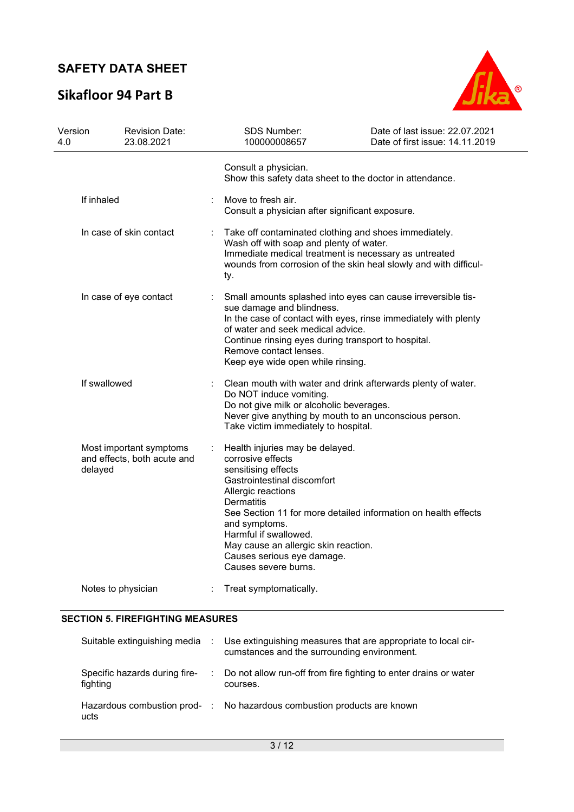# **Sikafloor 94 Part B**



| Version<br>4.0          | <b>Revision Date:</b><br>23.08.2021                    |                                                                                                                                                                                                                                      | <b>SDS Number:</b><br>100000008657                                                                                                                                                                                                                                                                                                                              | Date of last issue: 22.07.2021<br>Date of first issue: 14.11.2019 |  |  |
|-------------------------|--------------------------------------------------------|--------------------------------------------------------------------------------------------------------------------------------------------------------------------------------------------------------------------------------------|-----------------------------------------------------------------------------------------------------------------------------------------------------------------------------------------------------------------------------------------------------------------------------------------------------------------------------------------------------------------|-------------------------------------------------------------------|--|--|
|                         |                                                        |                                                                                                                                                                                                                                      | Consult a physician.<br>Show this safety data sheet to the doctor in attendance.                                                                                                                                                                                                                                                                                |                                                                   |  |  |
| If inhaled              |                                                        | Move to fresh air.<br>Consult a physician after significant exposure.                                                                                                                                                                |                                                                                                                                                                                                                                                                                                                                                                 |                                                                   |  |  |
| In case of skin contact |                                                        | Take off contaminated clothing and shoes immediately.<br>Wash off with soap and plenty of water.<br>Immediate medical treatment is necessary as untreated<br>wounds from corrosion of the skin heal slowly and with difficul-<br>ty. |                                                                                                                                                                                                                                                                                                                                                                 |                                                                   |  |  |
| In case of eye contact  |                                                        |                                                                                                                                                                                                                                      | Small amounts splashed into eyes can cause irreversible tis-<br>sue damage and blindness.<br>In the case of contact with eyes, rinse immediately with plenty<br>of water and seek medical advice.<br>Continue rinsing eyes during transport to hospital.<br>Remove contact lenses.<br>Keep eye wide open while rinsing.                                         |                                                                   |  |  |
| If swallowed            |                                                        |                                                                                                                                                                                                                                      | Clean mouth with water and drink afterwards plenty of water.<br>Do NOT induce vomiting.<br>Do not give milk or alcoholic beverages.<br>Never give anything by mouth to an unconscious person.<br>Take victim immediately to hospital.                                                                                                                           |                                                                   |  |  |
| delayed                 | Most important symptoms<br>and effects, both acute and |                                                                                                                                                                                                                                      | Health injuries may be delayed.<br>corrosive effects<br>sensitising effects<br>Gastrointestinal discomfort<br>Allergic reactions<br><b>Dermatitis</b><br>See Section 11 for more detailed information on health effects<br>and symptoms.<br>Harmful if swallowed.<br>May cause an allergic skin reaction.<br>Causes serious eye damage.<br>Causes severe burns. |                                                                   |  |  |
|                         | Notes to physician                                     |                                                                                                                                                                                                                                      | Treat symptomatically.                                                                                                                                                                                                                                                                                                                                          |                                                                   |  |  |

### **SECTION 5. FIREFIGHTING MEASURES**

| Suitable extinguishing media :            | Use extinguishing measures that are appropriate to local cir-<br>cumstances and the surrounding environment. |
|-------------------------------------------|--------------------------------------------------------------------------------------------------------------|
| Specific hazards during fire-<br>fighting | : Do not allow run-off from fire fighting to enter drains or water<br>courses.                               |
| ucts                                      | Hazardous combustion prod- : No hazardous combustion products are known                                      |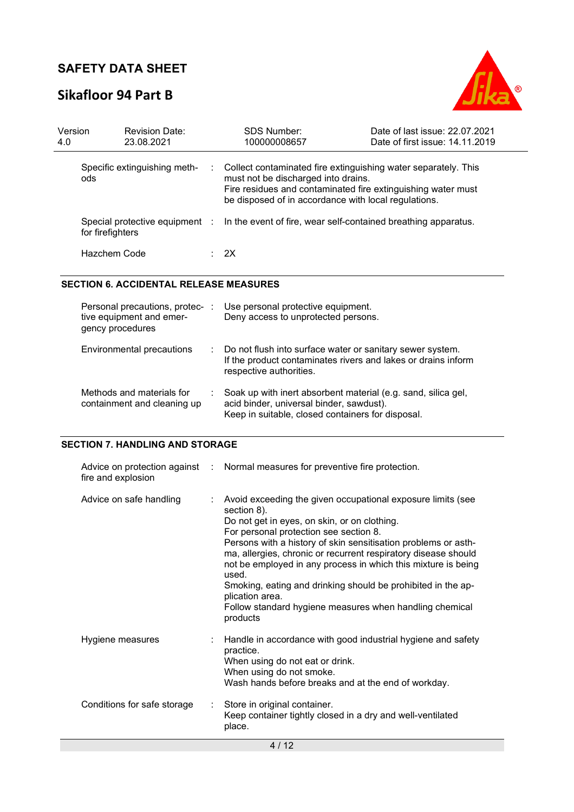# **Sikafloor 94 Part B**



| Version<br>4.0 |                  | <b>Revision Date:</b><br>23.08.2021 |   | <b>SDS Number:</b><br>100000008657                                                                                                                                                                                            | Date of last issue: 22.07.2021<br>Date of first issue: 14.11.2019 |
|----------------|------------------|-------------------------------------|---|-------------------------------------------------------------------------------------------------------------------------------------------------------------------------------------------------------------------------------|-------------------------------------------------------------------|
|                | ods              | Specific extinguishing meth-        | ÷ | Collect contaminated fire extinguishing water separately. This<br>must not be discharged into drains.<br>Fire residues and contaminated fire extinguishing water must<br>be disposed of in accordance with local regulations. |                                                                   |
|                | for firefighters |                                     |   | Special protective equipment : In the event of fire, wear self-contained breathing apparatus.                                                                                                                                 |                                                                   |
|                | Hazchem Code     |                                     |   | $\therefore$ 2X                                                                                                                                                                                                               |                                                                   |

#### **SECTION 6. ACCIDENTAL RELEASE MEASURES**

| Personal precautions, protec-<br>tive equipment and emer-<br>gency procedures | ÷ | Use personal protective equipment.<br>Deny access to unprotected persons.                                                                                      |
|-------------------------------------------------------------------------------|---|----------------------------------------------------------------------------------------------------------------------------------------------------------------|
| Environmental precautions                                                     |   | : Do not flush into surface water or sanitary sewer system.<br>If the product contaminates rivers and lakes or drains inform<br>respective authorities.        |
| Methods and materials for<br>containment and cleaning up                      |   | Soak up with inert absorbent material (e.g. sand, silica gel,<br>acid binder, universal binder, sawdust).<br>Keep in suitable, closed containers for disposal. |

### **SECTION 7. HANDLING AND STORAGE**

| fire and explosion          |                             | Advice on protection against : Normal measures for preventive fire protection.                                                                                                                                                                                                                                                                                                                                                                                                                                                               |
|-----------------------------|-----------------------------|----------------------------------------------------------------------------------------------------------------------------------------------------------------------------------------------------------------------------------------------------------------------------------------------------------------------------------------------------------------------------------------------------------------------------------------------------------------------------------------------------------------------------------------------|
| Advice on safe handling     | ÷.                          | Avoid exceeding the given occupational exposure limits (see<br>section 8).<br>Do not get in eyes, on skin, or on clothing.<br>For personal protection see section 8.<br>Persons with a history of skin sensitisation problems or asth-<br>ma, allergies, chronic or recurrent respiratory disease should<br>not be employed in any process in which this mixture is being<br>used.<br>Smoking, eating and drinking should be prohibited in the ap-<br>plication area.<br>Follow standard hygiene measures when handling chemical<br>products |
| Hygiene measures            |                             | Handle in accordance with good industrial hygiene and safety<br>practice.<br>When using do not eat or drink.<br>When using do not smoke.<br>Wash hands before breaks and at the end of workday.                                                                                                                                                                                                                                                                                                                                              |
| Conditions for safe storage | $\mathcal{L}^{\mathcal{L}}$ | Store in original container.<br>Keep container tightly closed in a dry and well-ventilated<br>place.                                                                                                                                                                                                                                                                                                                                                                                                                                         |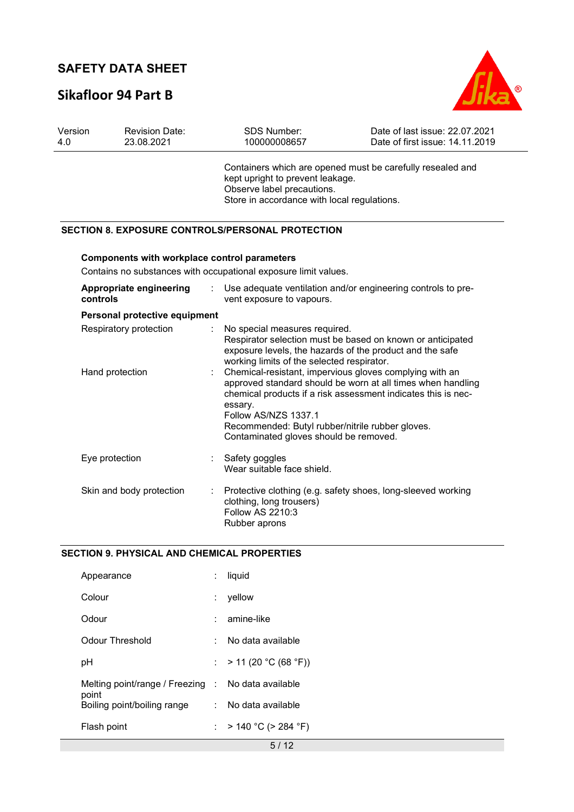# **Sikafloor 94 Part B**



| Version<br>4.0 |                 | <b>Revision Date:</b><br>23.08.2021          | <b>SDS Number:</b><br>100000008657                                                                                                                                                                                                                                                                                                                                                                          | Date of last issue: 22.07.2021<br>Date of first issue: 14.11.2019 |
|----------------|-----------------|----------------------------------------------|-------------------------------------------------------------------------------------------------------------------------------------------------------------------------------------------------------------------------------------------------------------------------------------------------------------------------------------------------------------------------------------------------------------|-------------------------------------------------------------------|
|                |                 |                                              | Containers which are opened must be carefully resealed and<br>kept upright to prevent leakage.<br>Observe label precautions.<br>Store in accordance with local regulations.                                                                                                                                                                                                                                 |                                                                   |
|                |                 |                                              | <b>SECTION 8. EXPOSURE CONTROLS/PERSONAL PROTECTION</b>                                                                                                                                                                                                                                                                                                                                                     |                                                                   |
|                |                 | Components with workplace control parameters | Contains no substances with occupational exposure limit values.                                                                                                                                                                                                                                                                                                                                             |                                                                   |
|                | controls        | Appropriate engineering                      | Use adequate ventilation and/or engineering controls to pre-<br>vent exposure to vapours.                                                                                                                                                                                                                                                                                                                   |                                                                   |
|                |                 | Personal protective equipment                |                                                                                                                                                                                                                                                                                                                                                                                                             |                                                                   |
|                | Hand protection | Respiratory protection                       | No special measures required.<br>Respirator selection must be based on known or anticipated<br>exposure levels, the hazards of the product and the safe<br>working limits of the selected respirator.<br>Chemical-resistant, impervious gloves complying with an<br>approved standard should be worn at all times when handling<br>chemical products if a risk assessment indicates this is nec-<br>essary. |                                                                   |
|                |                 |                                              | Follow AS/NZS 1337.1<br>Recommended: Butyl rubber/nitrile rubber gloves.<br>Contaminated gloves should be removed.                                                                                                                                                                                                                                                                                          |                                                                   |
|                | Eye protection  |                                              | Safety goggles<br>Wear suitable face shield.                                                                                                                                                                                                                                                                                                                                                                |                                                                   |
|                |                 | Skin and body protection                     | Protective clothing (e.g. safety shoes, long-sleeved working<br>clothing, long trousers)<br>Follow AS 2210:3<br>Rubber aprons                                                                                                                                                                                                                                                                               |                                                                   |

#### **SECTION 9. PHYSICAL AND CHEMICAL PROPERTIES**

| Appearance                                         | liquid                   |
|----------------------------------------------------|--------------------------|
| Colour                                             | yellow                   |
| Odour                                              | amine-like               |
| Odour Threshold                                    | No data available        |
| рH                                                 | : $> 11 (20 °C (68 °F))$ |
| Melting point/range / Freezing : No data available |                          |
| point<br>Boiling point/boiling range               | : No data available      |
| Flash point                                        | : > 140 °C (> 284 °F)    |
|                                                    | 5/12                     |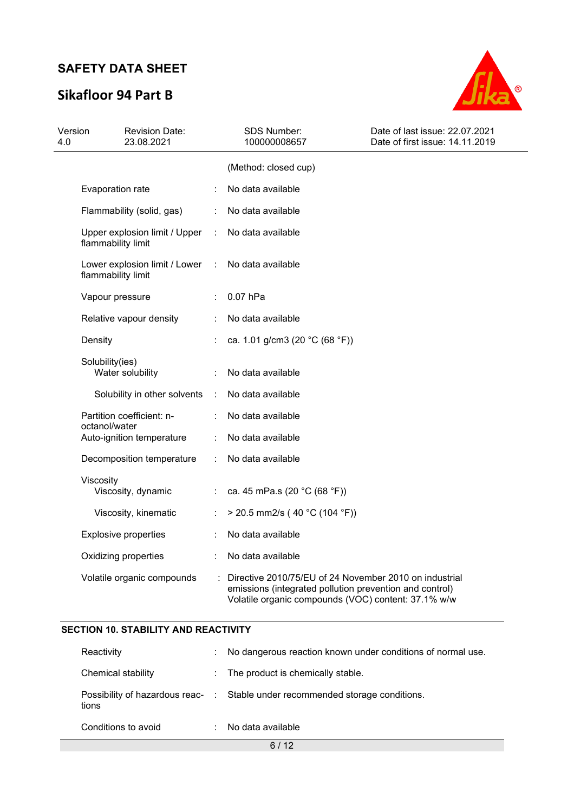# **Sikafloor 94 Part B**



| Version<br>4.0 |                    | <b>Revision Date:</b><br>23.08.2021 |                      | <b>SDS Number:</b><br>100000008657                                                                                                                                       | Date of last issue: 22.07.2021<br>Date of first issue: 14.11.2019 |
|----------------|--------------------|-------------------------------------|----------------------|--------------------------------------------------------------------------------------------------------------------------------------------------------------------------|-------------------------------------------------------------------|
|                |                    |                                     |                      | (Method: closed cup)                                                                                                                                                     |                                                                   |
|                | Evaporation rate   |                                     |                      | No data available                                                                                                                                                        |                                                                   |
|                |                    | Flammability (solid, gas)           |                      | No data available                                                                                                                                                        |                                                                   |
|                | flammability limit | Upper explosion limit / Upper       | ÷.                   | No data available                                                                                                                                                        |                                                                   |
|                | flammability limit | Lower explosion limit / Lower       | $\ddot{\phantom{a}}$ | No data available                                                                                                                                                        |                                                                   |
|                | Vapour pressure    |                                     |                      | $0.07$ hPa                                                                                                                                                               |                                                                   |
|                |                    | Relative vapour density             |                      | No data available                                                                                                                                                        |                                                                   |
|                | Density            |                                     |                      | ca. 1.01 g/cm3 (20 °C (68 °F))                                                                                                                                           |                                                                   |
|                | Solubility(ies)    | Water solubility                    |                      | No data available                                                                                                                                                        |                                                                   |
|                |                    | Solubility in other solvents        | ÷                    | No data available                                                                                                                                                        |                                                                   |
|                |                    | Partition coefficient: n-           |                      | No data available                                                                                                                                                        |                                                                   |
|                | octanol/water      | Auto-ignition temperature           |                      | No data available                                                                                                                                                        |                                                                   |
|                |                    | Decomposition temperature           |                      | No data available                                                                                                                                                        |                                                                   |
|                | Viscosity          | Viscosity, dynamic                  |                      | ca. 45 mPa.s (20 °C (68 °F))                                                                                                                                             |                                                                   |
|                |                    | Viscosity, kinematic                | ÷                    | > 20.5 mm2/s (40 °C (104 °F))                                                                                                                                            |                                                                   |
|                |                    | <b>Explosive properties</b>         |                      | No data available                                                                                                                                                        |                                                                   |
|                |                    | Oxidizing properties                |                      | No data available                                                                                                                                                        |                                                                   |
|                |                    | Volatile organic compounds          |                      | Directive 2010/75/EU of 24 November 2010 on industrial<br>emissions (integrated pollution prevention and control)<br>Volatile organic compounds (VOC) content: 37.1% w/w |                                                                   |

### **SECTION 10. STABILITY AND REACTIVITY**

|                     |    | -12                                                                           |
|---------------------|----|-------------------------------------------------------------------------------|
| Conditions to avoid |    | No data available                                                             |
| tions               |    | Possibility of hazardous reac- : Stable under recommended storage conditions. |
| Chemical stability  |    | : The product is chemically stable.                                           |
| Reactivity          | ÷. | No dangerous reaction known under conditions of normal use.                   |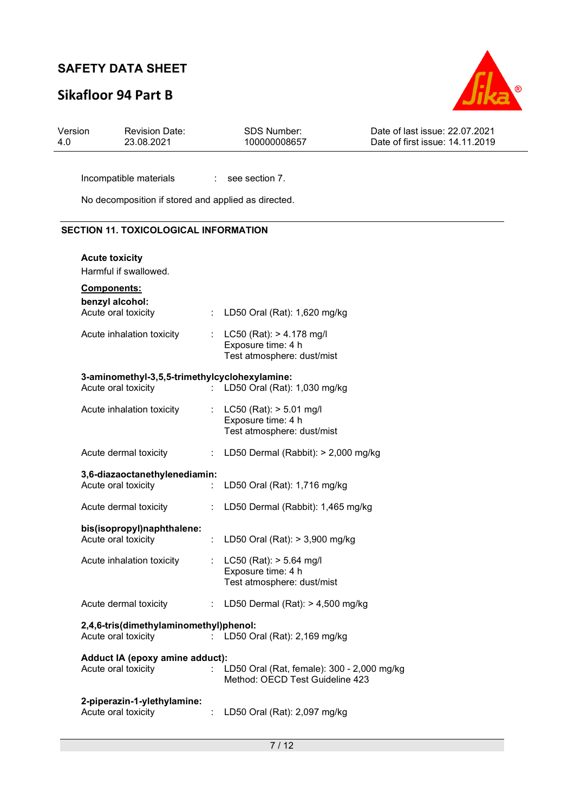# **Sikafloor 94 Part B**



| Version | <b>Revision Date:</b> | SDS Number:  | Date of last issue: 22.07.2021  |
|---------|-----------------------|--------------|---------------------------------|
| 4.0     | 23.08.2021            | 100000008657 | Date of first issue: 14.11.2019 |
|         |                       |              |                                 |

Incompatible materials : see section 7.

No decomposition if stored and applied as directed.

#### **SECTION 11. TOXICOLOGICAL INFORMATION**

| <b>Acute toxicity</b>                                                |                              |                                                                                  |
|----------------------------------------------------------------------|------------------------------|----------------------------------------------------------------------------------|
| Harmful if swallowed.                                                |                              |                                                                                  |
| Components:<br>benzyl alcohol:<br>Acute oral toxicity                | $\mathcal{L}_{\mathrm{max}}$ | LD50 Oral (Rat): 1,620 mg/kg                                                     |
| Acute inhalation toxicity                                            | t in                         | $LC50$ (Rat): $> 4.178$ mg/l<br>Exposure time: 4 h<br>Test atmosphere: dust/mist |
| 3-aminomethyl-3,5,5-trimethylcyclohexylamine:<br>Acute oral toxicity | t.                           | LD50 Oral (Rat): 1,030 mg/kg                                                     |
| Acute inhalation toxicity                                            |                              | : LC50 (Rat): $> 5.01$ mg/l<br>Exposure time: 4 h<br>Test atmosphere: dust/mist  |
| Acute dermal toxicity                                                | ÷.                           | LD50 Dermal (Rabbit): > 2,000 mg/kg                                              |
| 3,6-diazaoctanethylenediamin:<br>Acute oral toxicity                 |                              | LD50 Oral (Rat): 1,716 mg/kg                                                     |
| Acute dermal toxicity                                                | ÷                            | LD50 Dermal (Rabbit): 1,465 mg/kg                                                |
| bis(isopropyl)naphthalene:<br>Acute oral toxicity                    | $\mathcal{L}^{\mathcal{L}}$  | LD50 Oral (Rat): > 3,900 mg/kg                                                   |
| Acute inhalation toxicity                                            |                              | LC50 (Rat): > 5.64 mg/l<br>Exposure time: 4 h<br>Test atmosphere: dust/mist      |
| Acute dermal toxicity                                                | ÷                            | LD50 Dermal (Rat): $> 4,500$ mg/kg                                               |
| 2,4,6-tris(dimethylaminomethyl)phenol:<br>Acute oral toxicity        |                              | LD50 Oral (Rat): 2,169 mg/kg                                                     |
| Adduct IA (epoxy amine adduct):<br>Acute oral toxicity               |                              | LD50 Oral (Rat, female): 300 - 2,000 mg/kg<br>Method: OECD Test Guideline 423    |
| 2-piperazin-1-ylethylamine:<br>Acute oral toxicity                   |                              | LD50 Oral (Rat): 2,097 mg/kg                                                     |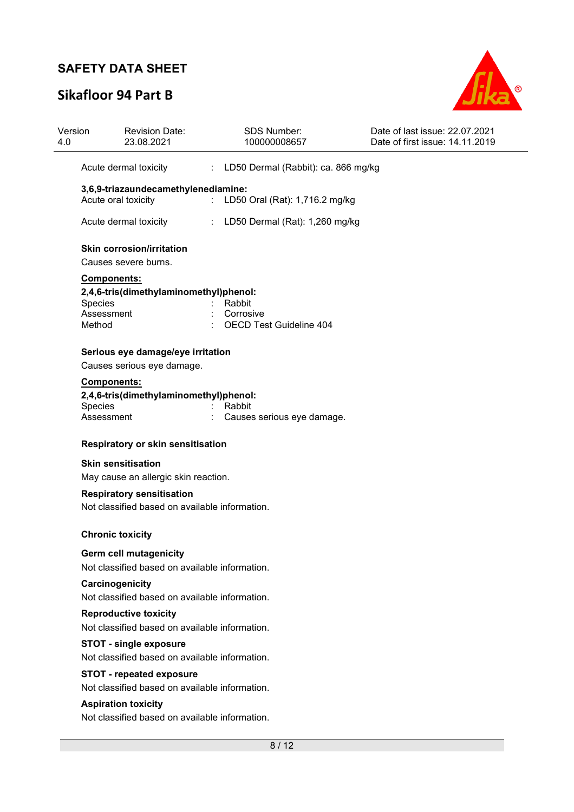# **Sikafloor 94 Part B**



| Version<br>4.0 | <b>Revision Date:</b><br>23.08.2021                                                                                 | <b>SDS Number:</b><br>100000008657                          | Date of last issue: 22.07.2021<br>Date of first issue: 14.11.2019 |  |  |  |  |  |  |
|----------------|---------------------------------------------------------------------------------------------------------------------|-------------------------------------------------------------|-------------------------------------------------------------------|--|--|--|--|--|--|
|                | Acute dermal toxicity                                                                                               | : LD50 Dermal (Rabbit): ca. 866 mg/kg                       |                                                                   |  |  |  |  |  |  |
|                | 3,6,9-triazaundecamethylenediamine:<br>Acute oral toxicity                                                          | LD50 Oral (Rat): 1,716.2 mg/kg<br>$\mathbb{R}^{\mathbb{Z}}$ |                                                                   |  |  |  |  |  |  |
|                | Acute dermal toxicity                                                                                               | LD50 Dermal (Rat): 1,260 mg/kg                              |                                                                   |  |  |  |  |  |  |
|                | <b>Skin corrosion/irritation</b><br>Causes severe burns.                                                            |                                                             |                                                                   |  |  |  |  |  |  |
|                | Components:<br>2,4,6-tris(dimethylaminomethyl)phenol:<br>Species<br>Assessment<br>Method                            | Rabbit<br>Corrosive<br><b>OECD Test Guideline 404</b>       |                                                                   |  |  |  |  |  |  |
|                | Serious eye damage/eye irritation                                                                                   |                                                             |                                                                   |  |  |  |  |  |  |
|                | Causes serious eye damage.<br><b>Components:</b><br>2,4,6-tris(dimethylaminomethyl)phenol:<br>Species<br>Assessment | Rabbit<br>Causes serious eye damage.                        |                                                                   |  |  |  |  |  |  |
|                | Respiratory or skin sensitisation                                                                                   |                                                             |                                                                   |  |  |  |  |  |  |
|                | <b>Skin sensitisation</b><br>May cause an allergic skin reaction.                                                   |                                                             |                                                                   |  |  |  |  |  |  |
|                | <b>Respiratory sensitisation</b><br>Not classified based on available information.                                  |                                                             |                                                                   |  |  |  |  |  |  |
|                | <b>Chronic toxicity</b>                                                                                             |                                                             |                                                                   |  |  |  |  |  |  |
|                | Germ cell mutagenicity<br>Not classified based on available information.                                            |                                                             |                                                                   |  |  |  |  |  |  |
|                | Carcinogenicity<br>Not classified based on available information.                                                   |                                                             |                                                                   |  |  |  |  |  |  |
|                | <b>Reproductive toxicity</b><br>Not classified based on available information.                                      |                                                             |                                                                   |  |  |  |  |  |  |
|                | <b>STOT - single exposure</b><br>Not classified based on available information.                                     |                                                             |                                                                   |  |  |  |  |  |  |
|                | <b>STOT - repeated exposure</b><br>Not classified based on available information.                                   |                                                             |                                                                   |  |  |  |  |  |  |
|                | <b>Aspiration toxicity</b><br>Not classified based on available information.                                        |                                                             |                                                                   |  |  |  |  |  |  |
|                |                                                                                                                     |                                                             |                                                                   |  |  |  |  |  |  |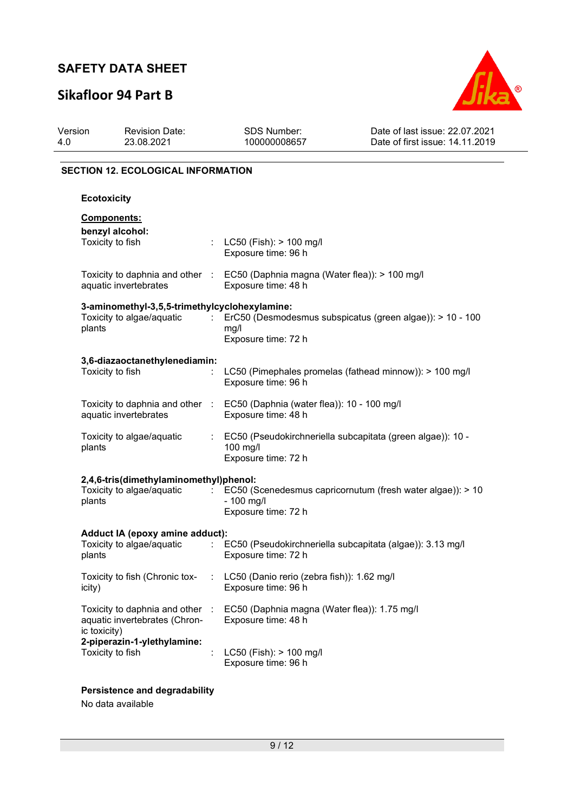# **Sikafloor 94 Part B**



| Version<br>4.0 | <b>Revision Date:</b><br>23.08.2021                                                             | <b>SDS Number:</b><br>100000008657                                                                   | Date of last issue: 22.07.2021<br>Date of first issue: 14.11.2019 |  |  |  |  |  |
|----------------|-------------------------------------------------------------------------------------------------|------------------------------------------------------------------------------------------------------|-------------------------------------------------------------------|--|--|--|--|--|
|                | <b>SECTION 12. ECOLOGICAL INFORMATION</b>                                                       |                                                                                                      |                                                                   |  |  |  |  |  |
|                | <b>Ecotoxicity</b>                                                                              |                                                                                                      |                                                                   |  |  |  |  |  |
|                | <b>Components:</b><br>benzyl alcohol:<br>Toxicity to fish                                       | LC50 (Fish): > 100 mg/l<br>Exposure time: 96 h                                                       |                                                                   |  |  |  |  |  |
|                | aquatic invertebrates                                                                           | Toxicity to daphnia and other : EC50 (Daphnia magna (Water flea)): > 100 mg/l<br>Exposure time: 48 h |                                                                   |  |  |  |  |  |
| plants         | 3-aminomethyl-3,5,5-trimethylcyclohexylamine:<br>Toxicity to algae/aquatic                      | ÷<br>mg/l<br>Exposure time: 72 h                                                                     | ErC50 (Desmodesmus subspicatus (green algae)): > 10 - 100         |  |  |  |  |  |
|                | 3,6-diazaoctanethylenediamin:<br>Toxicity to fish                                               | ÷<br>Exposure time: 96 h                                                                             | LC50 (Pimephales promelas (fathead minnow)): > 100 mg/l           |  |  |  |  |  |
|                | aquatic invertebrates                                                                           | Toxicity to daphnia and other : EC50 (Daphnia (water flea)): 10 - 100 mg/l<br>Exposure time: 48 h    |                                                                   |  |  |  |  |  |
| plants         | Toxicity to algae/aquatic                                                                       | ÷<br>100 mg/l<br>Exposure time: 72 h                                                                 | EC50 (Pseudokirchneriella subcapitata (green algae)): 10 -        |  |  |  |  |  |
| plants         | 2,4,6-tris(dimethylaminomethyl)phenol:<br>Toxicity to algae/aquatic                             | $-100$ mg/l<br>Exposure time: 72 h                                                                   | EC50 (Scenedesmus capricornutum (fresh water algae)): > 10        |  |  |  |  |  |
| plants         | Adduct IA (epoxy amine adduct):<br>Toxicity to algae/aquatic                                    | $\mathcal{L}^{\mathcal{L}}$<br>Exposure time: 72 h                                                   | EC50 (Pseudokirchneriella subcapitata (algae)): 3.13 mg/l         |  |  |  |  |  |
| icity)         | Toxicity to fish (Chronic tox-                                                                  | LC50 (Danio rerio (zebra fish)): 1.62 mg/l<br>Exposure time: 96 h                                    |                                                                   |  |  |  |  |  |
| ic toxicity)   | Toxicity to daphnia and other :<br>aquatic invertebrates (Chron-<br>2-piperazin-1-ylethylamine: | EC50 (Daphnia magna (Water flea)): 1.75 mg/l<br>Exposure time: 48 h                                  |                                                                   |  |  |  |  |  |
|                | Toxicity to fish                                                                                | $LC50$ (Fish): $> 100$ mg/l<br>Exposure time: 96 h                                                   |                                                                   |  |  |  |  |  |

**Persistence and degradability** 

No data available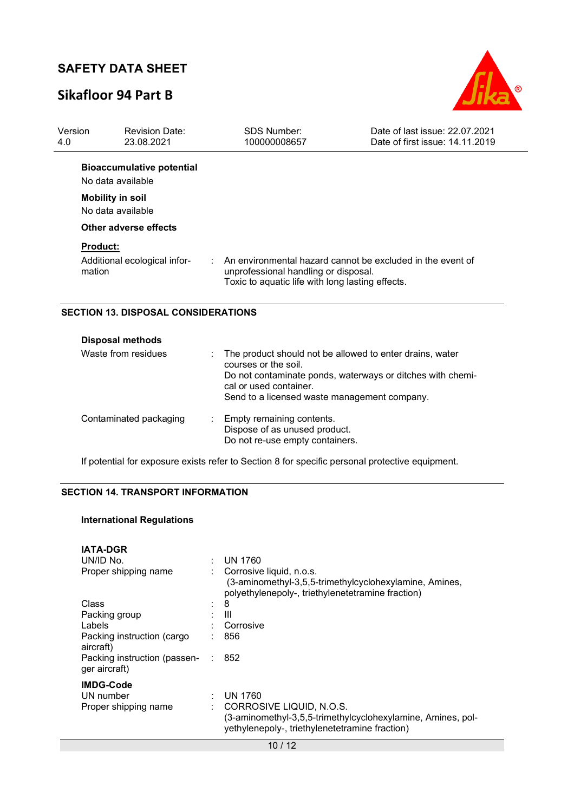# **Sikafloor 94 Part B**



| Version<br>4.0  | <b>Revision Date:</b><br>23.08.2021                   | <b>SDS Number:</b><br>100000008657                                                       | Date of last issue: 22.07.2021<br>Date of first issue: 14.11.2019 |
|-----------------|-------------------------------------------------------|------------------------------------------------------------------------------------------|-------------------------------------------------------------------|
|                 | <b>Bioaccumulative potential</b><br>No data available |                                                                                          |                                                                   |
|                 | <b>Mobility in soil</b><br>No data available          |                                                                                          |                                                                   |
|                 | Other adverse effects                                 |                                                                                          |                                                                   |
| <b>Product:</b> |                                                       |                                                                                          |                                                                   |
| mation          | Additional ecological infor-                          | unprofessional handling or disposal.<br>Toxic to aquatic life with long lasting effects. | An environmental hazard cannot be excluded in the event of        |
|                 | <b>SECTION 13. DISPOSAL CONSIDERATIONS</b>            |                                                                                          |                                                                   |

| <b>Disposal methods</b> |                                                                                                                                                                                                                          |  |  |  |  |  |
|-------------------------|--------------------------------------------------------------------------------------------------------------------------------------------------------------------------------------------------------------------------|--|--|--|--|--|
| Waste from residues     | The product should not be allowed to enter drains, water<br>courses or the soil.<br>Do not contaminate ponds, waterways or ditches with chemi-<br>cal or used container.<br>Send to a licensed waste management company. |  |  |  |  |  |
| Contaminated packaging  | : Empty remaining contents.<br>Dispose of as unused product.<br>Do not re-use empty containers.                                                                                                                          |  |  |  |  |  |

If potential for exposure exists refer to Section 8 for specific personal protective equipment.

### **SECTION 14. TRANSPORT INFORMATION**

### **International Regulations**

| <b>IATA-DGR</b>                                       |     |                                                                                                                                                      |
|-------------------------------------------------------|-----|------------------------------------------------------------------------------------------------------------------------------------------------------|
| UN/ID No.                                             |     | <b>UN 1760</b>                                                                                                                                       |
| Proper shipping name                                  |     | Corrosive liquid, n.o.s.<br>(3-aminomethyl-3,5,5-trimethylcyclohexylamine, Amines,<br>polyethylenepoly-, triethylenetetramine fraction)              |
| Class                                                 |     | 8                                                                                                                                                    |
| Packing group                                         |     | Ш                                                                                                                                                    |
| Labels                                                |     | Corrosive                                                                                                                                            |
| Packing instruction (cargo<br>aircraft)               |     | 856                                                                                                                                                  |
| Packing instruction (passen-<br>ger aircraft)         | -17 | 852                                                                                                                                                  |
| <b>IMDG-Code</b><br>UN number<br>Proper shipping name |     | UN 1760<br>CORROSIVE LIQUID, N.O.S.<br>(3-aminomethyl-3,5,5-trimethylcyclohexylamine, Amines, pol-<br>yethylenepoly-, triethylenetetramine fraction) |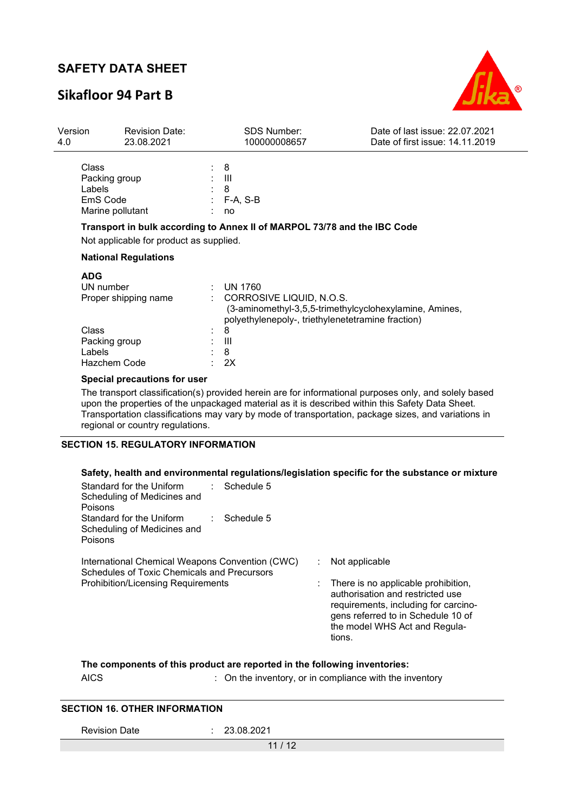### **Sikafloor 94 Part B**



| Version<br>4.0 | 23.08.2021                                                       | <b>Revision Date:</b>                   | <b>SDS Number:</b><br>100000008657                                                                                                                        | Date of last issue: 22.07.2021<br>Date of first issue: 14.11.2019                                                                                                                                            |
|----------------|------------------------------------------------------------------|-----------------------------------------|-----------------------------------------------------------------------------------------------------------------------------------------------------------|--------------------------------------------------------------------------------------------------------------------------------------------------------------------------------------------------------------|
|                | Class<br>Packing group<br>Labels<br>EmS Code<br>Marine pollutant | 8<br>Ш<br>8<br>no                       | F-A, S-B                                                                                                                                                  |                                                                                                                                                                                                              |
|                |                                                                  |                                         | Transport in bulk according to Annex II of MARPOL 73/78 and the IBC Code                                                                                  |                                                                                                                                                                                                              |
|                |                                                                  | Not applicable for product as supplied. |                                                                                                                                                           |                                                                                                                                                                                                              |
|                | <b>National Regulations</b>                                      |                                         |                                                                                                                                                           |                                                                                                                                                                                                              |
|                | <b>ADG</b><br>UN number<br>Proper shipping name                  |                                         | <b>UN 1760</b><br>CORROSIVE LIQUID, N.O.S.<br>(3-aminomethyl-3,5,5-trimethylcyclohexylamine, Amines,<br>polyethylenepoly-, triethylenetetramine fraction) |                                                                                                                                                                                                              |
|                | Class<br>Packing group<br>Labels<br>Hazchem Code                 | 8<br>Ш<br>8<br>2X                       |                                                                                                                                                           |                                                                                                                                                                                                              |
|                | Special precautions for user                                     |                                         |                                                                                                                                                           |                                                                                                                                                                                                              |
|                | regional or country regulations.                                 |                                         | upon the properties of the unpackaged material as it is described within this Safety Data Sheet.                                                          | The transport classification(s) provided herein are for informational purposes only, and solely based<br>Transportation classifications may vary by mode of transportation, package sizes, and variations in |

#### **SECTION 15. REGULATORY INFORMATION**

### **Safety, health and environmental regulations/legislation specific for the substance or mixture**

| Standard for the Uniform<br>Scheduling of Medicines and<br><b>Poisons</b>                      |  | Schedule 5 |    |                                                                                                                                                                                                  |
|------------------------------------------------------------------------------------------------|--|------------|----|--------------------------------------------------------------------------------------------------------------------------------------------------------------------------------------------------|
| Standard for the Uniform<br>Scheduling of Medicines and<br>Poisons                             |  | Schedule 5 |    |                                                                                                                                                                                                  |
| International Chemical Weapons Convention (CWC)<br>Schedules of Toxic Chemicals and Precursors |  |            | ÷. | Not applicable                                                                                                                                                                                   |
| <b>Prohibition/Licensing Requirements</b>                                                      |  |            |    | There is no applicable prohibition,<br>authorisation and restricted use<br>requirements, including for carcino-<br>gens referred to in Schedule 10 of<br>the model WHS Act and Regula-<br>tions. |
|                                                                                                |  |            |    |                                                                                                                                                                                                  |

**The components of this product are reported in the following inventories:** 

AICS : On the inventory, or in compliance with the inventory

#### **SECTION 16. OTHER INFORMATION**

Revision Date : 23.08.2021